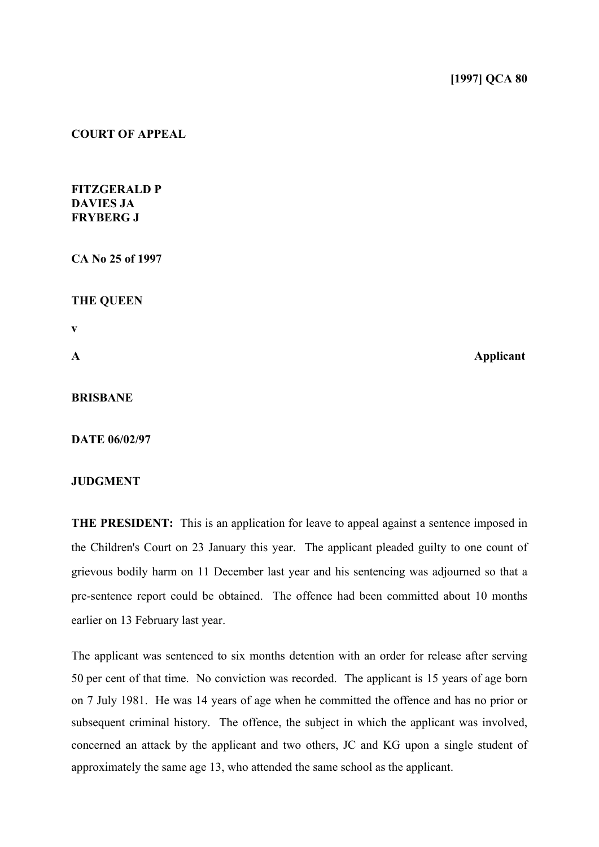## **COURT OF APPEAL**

**FITZGERALD P DAVIES JA FRYBERG J**

**CA No 25 of 1997**

## **THE QUEEN**

**v**

**A Applicant**

**BRISBANE**

**DATE 06/02/97**

## **JUDGMENT**

**THE PRESIDENT:** This is an application for leave to appeal against a sentence imposed in the Children's Court on 23 January this year. The applicant pleaded guilty to one count of grievous bodily harm on 11 December last year and his sentencing was adjourned so that a pre-sentence report could be obtained. The offence had been committed about 10 months earlier on 13 February last year.

The applicant was sentenced to six months detention with an order for release after serving 50 per cent of that time. No conviction was recorded. The applicant is 15 years of age born on 7 July 1981. He was 14 years of age when he committed the offence and has no prior or subsequent criminal history. The offence, the subject in which the applicant was involved, concerned an attack by the applicant and two others, JC and KG upon a single student of approximately the same age 13, who attended the same school as the applicant.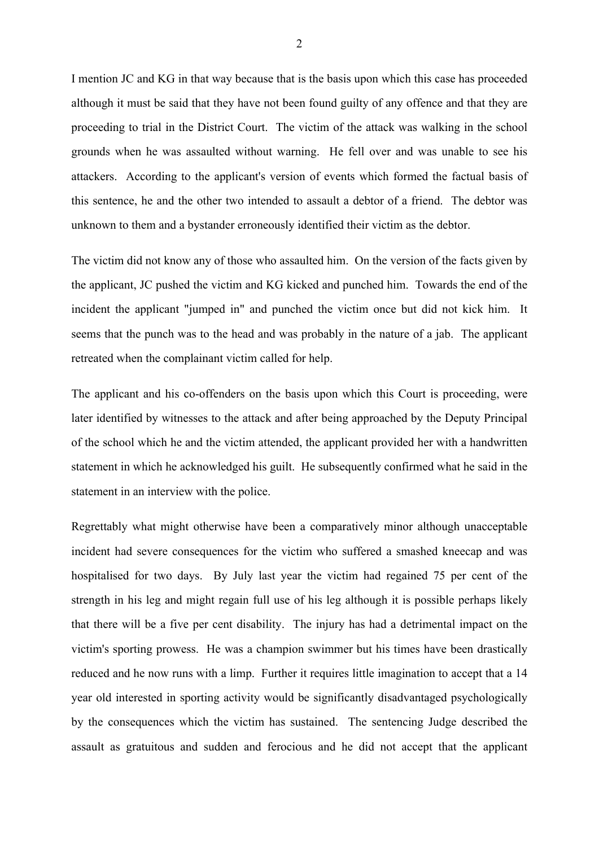I mention JC and KG in that way because that is the basis upon which this case has proceeded although it must be said that they have not been found guilty of any offence and that they are proceeding to trial in the District Court. The victim of the attack was walking in the school grounds when he was assaulted without warning. He fell over and was unable to see his attackers. According to the applicant's version of events which formed the factual basis of this sentence, he and the other two intended to assault a debtor of a friend. The debtor was unknown to them and a bystander erroneously identified their victim as the debtor.

The victim did not know any of those who assaulted him. On the version of the facts given by the applicant, JC pushed the victim and KG kicked and punched him. Towards the end of the incident the applicant "jumped in" and punched the victim once but did not kick him. It seems that the punch was to the head and was probably in the nature of a jab. The applicant retreated when the complainant victim called for help.

The applicant and his co-offenders on the basis upon which this Court is proceeding, were later identified by witnesses to the attack and after being approached by the Deputy Principal of the school which he and the victim attended, the applicant provided her with a handwritten statement in which he acknowledged his guilt. He subsequently confirmed what he said in the statement in an interview with the police.

Regrettably what might otherwise have been a comparatively minor although unacceptable incident had severe consequences for the victim who suffered a smashed kneecap and was hospitalised for two days. By July last year the victim had regained 75 per cent of the strength in his leg and might regain full use of his leg although it is possible perhaps likely that there will be a five per cent disability. The injury has had a detrimental impact on the victim's sporting prowess. He was a champion swimmer but his times have been drastically reduced and he now runs with a limp. Further it requires little imagination to accept that a 14 year old interested in sporting activity would be significantly disadvantaged psychologically by the consequences which the victim has sustained. The sentencing Judge described the assault as gratuitous and sudden and ferocious and he did not accept that the applicant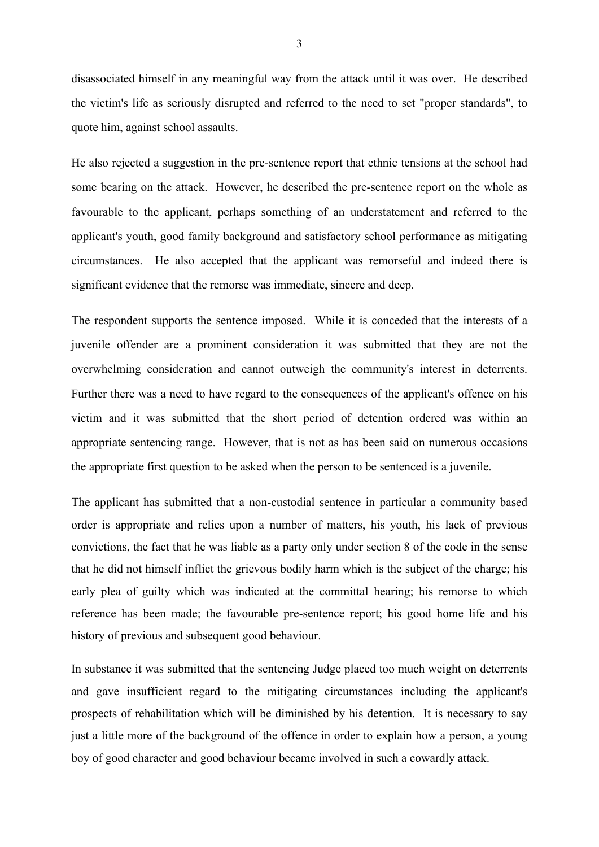disassociated himself in any meaningful way from the attack until it was over. He described the victim's life as seriously disrupted and referred to the need to set "proper standards", to quote him, against school assaults.

He also rejected a suggestion in the pre-sentence report that ethnic tensions at the school had some bearing on the attack. However, he described the pre-sentence report on the whole as favourable to the applicant, perhaps something of an understatement and referred to the applicant's youth, good family background and satisfactory school performance as mitigating circumstances. He also accepted that the applicant was remorseful and indeed there is significant evidence that the remorse was immediate, sincere and deep.

The respondent supports the sentence imposed. While it is conceded that the interests of a juvenile offender are a prominent consideration it was submitted that they are not the overwhelming consideration and cannot outweigh the community's interest in deterrents. Further there was a need to have regard to the consequences of the applicant's offence on his victim and it was submitted that the short period of detention ordered was within an appropriate sentencing range. However, that is not as has been said on numerous occasions the appropriate first question to be asked when the person to be sentenced is a juvenile.

The applicant has submitted that a non-custodial sentence in particular a community based order is appropriate and relies upon a number of matters, his youth, his lack of previous convictions, the fact that he was liable as a party only under section 8 of the code in the sense that he did not himself inflict the grievous bodily harm which is the subject of the charge; his early plea of guilty which was indicated at the committal hearing; his remorse to which reference has been made; the favourable pre-sentence report; his good home life and his history of previous and subsequent good behaviour.

In substance it was submitted that the sentencing Judge placed too much weight on deterrents and gave insufficient regard to the mitigating circumstances including the applicant's prospects of rehabilitation which will be diminished by his detention. It is necessary to say just a little more of the background of the offence in order to explain how a person, a young boy of good character and good behaviour became involved in such a cowardly attack.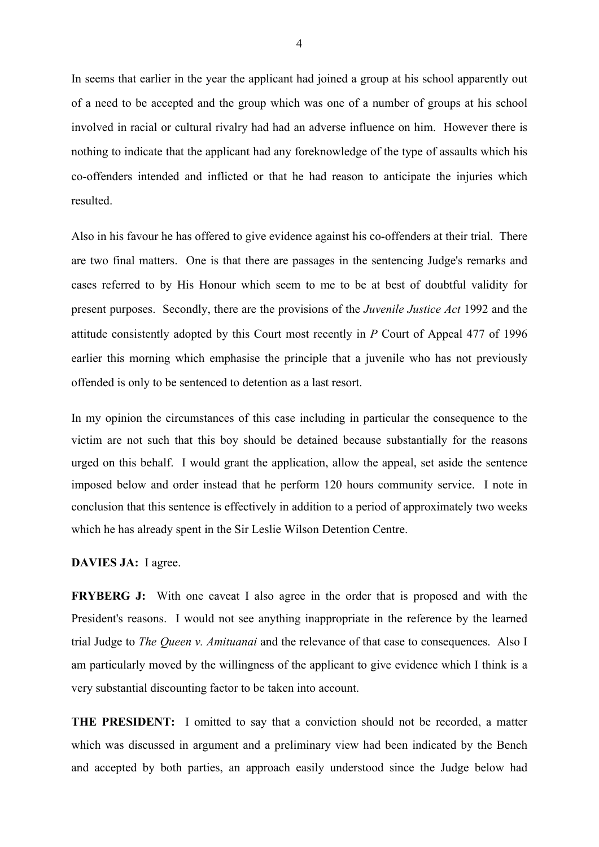In seems that earlier in the year the applicant had joined a group at his school apparently out of a need to be accepted and the group which was one of a number of groups at his school involved in racial or cultural rivalry had had an adverse influence on him. However there is nothing to indicate that the applicant had any foreknowledge of the type of assaults which his co-offenders intended and inflicted or that he had reason to anticipate the injuries which resulted.

Also in his favour he has offered to give evidence against his co-offenders at their trial. There are two final matters. One is that there are passages in the sentencing Judge's remarks and cases referred to by His Honour which seem to me to be at best of doubtful validity for present purposes. Secondly, there are the provisions of the *Juvenile Justice Act* 1992 and the attitude consistently adopted by this Court most recently in *P* Court of Appeal 477 of 1996 earlier this morning which emphasise the principle that a juvenile who has not previously offended is only to be sentenced to detention as a last resort.

In my opinion the circumstances of this case including in particular the consequence to the victim are not such that this boy should be detained because substantially for the reasons urged on this behalf. I would grant the application, allow the appeal, set aside the sentence imposed below and order instead that he perform 120 hours community service. I note in conclusion that this sentence is effectively in addition to a period of approximately two weeks which he has already spent in the Sir Leslie Wilson Detention Centre.

## **DAVIES JA:** I agree.

**FRYBERG J:** With one caveat I also agree in the order that is proposed and with the President's reasons. I would not see anything inappropriate in the reference by the learned trial Judge to *The Queen v. Amituanai* and the relevance of that case to consequences. Also I am particularly moved by the willingness of the applicant to give evidence which I think is a very substantial discounting factor to be taken into account.

**THE PRESIDENT:** I omitted to say that a conviction should not be recorded, a matter which was discussed in argument and a preliminary view had been indicated by the Bench and accepted by both parties, an approach easily understood since the Judge below had